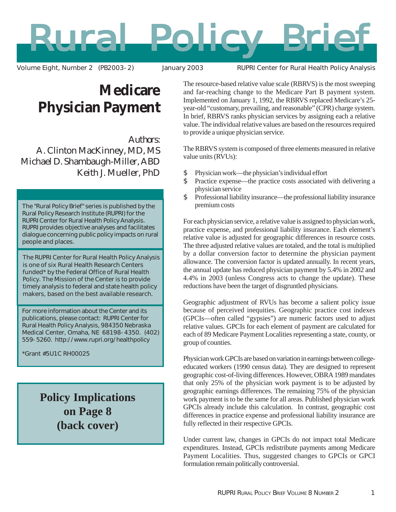# ural Policy Brie

Volume Eight, Number 2 (PB2003-2) January 2003 RUPRI Center for Rural Health Policy Analysis

## **Medicare Physician Payment**

*Authors*: A. Clinton MacKinney, MD, MS Michael D. Shambaugh-Miller, ABD Keith J. Mueller, PhD

The "Rural Policy Brief" series is published by the Rural Policy Research Institute (RUPRI) for the RUPRI Center for Rural Health Policy Analysis. RUPRI provides objective analyses and facilitates dialogue concerning public policy impacts on rural people and places.

The RUPRI Center for Rural Health Policy Analysis is one of six Rural Health Research Centers funded\* by the Federal Office of Rural Health Policy. The Mission of the Center is to provide timely analysis to federal and state health policy makers, based on the best available research.

For more information about the Center and its publications, please contact: RUPRI Center for Rural Health Policy Analysis, 984350 Nebraska Medical Center, Omaha, NE 68198-4350. (402) 559-5260. http://www.rupri.org/healthpolicy

\*Grant #5U1C RH00025

**Policy Implications on Page 8 (back cover)**

The resource-based relative value scale (RBRVS) is the most sweeping and far-reaching change to the Medicare Part B payment system. Implemented on January 1, 1992, the RBRVS replaced Medicare's 25 year-old "customary, prevailing, and reasonable" (CPR) charge system. In brief, RBRVS ranks physician services by assigning each a relative value. The individual relative values are based on the resources required to provide a unique physician service.

The RBRVS system is composed of three elements measured in relative value units (RVUs):

- \$ Physician work—the physician's individual effort
- \$ Practice expense—the practice costs associated with delivering a physician service
- \$ Professional liability insurance—the professional liability insurance premium costs

For each physician service, a relative value is assigned to physician work, practice expense, and professional liability insurance. Each element's relative value is adjusted for geographic differences in resource costs. The three adjusted relative values are totaled, and the total is multiplied by a dollar conversion factor to determine the physician payment allowance. The conversion factor is updated annually. In recent years, the annual update has reduced physician payment by 5.4% in 2002 and 4.4% in 2003 (unless Congress acts to change the update). These reductions have been the target of disgruntled physicians.

Geographic adjustment of RVUs has become a salient policy issue because of perceived inequities. Geographic practice cost indexes (GPCIs—often called "gypsies") are numeric factors used to adjust relative values. GPCIs for each element of payment are calculated for each of 89 Medicare Payment Localities representing a state, county, or group of counties.

Physician work GPCIs are based on variation in earnings between collegeeducated workers (1990 census data). They are designed to represent geographic cost-of-living differences. However, OBRA 1989 mandates that only 25% of the physician work payment is to be adjusted by geographic earnings differences. The remaining 75% of the physician work payment is to be the same for all areas. Published physician work GPCIs already include this calculation. In contrast, geographic cost differences in practice expense and professional liability insurance are fully reflected in their respective GPCIs.

Under current law, changes in GPCIs do not impact total Medicare expenditures. Instead, GPCIs redistribute payments among Medicare Payment Localities. Thus, suggested changes to GPCIs or GPCI formulation remain politically controversial.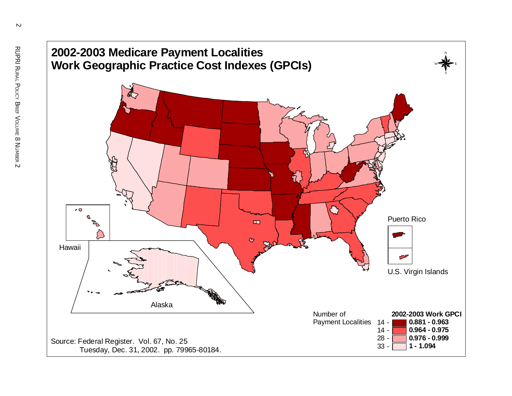

 $\sim$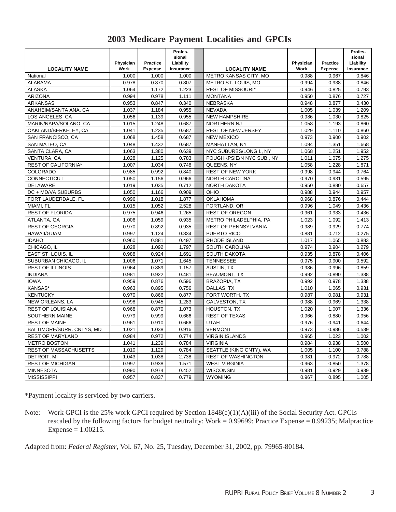|  |  |  | <b>2003 Medicare Payment Localities and GPCIs</b> |  |  |
|--|--|--|---------------------------------------------------|--|--|
|--|--|--|---------------------------------------------------|--|--|

| <b>LOCALITY NAME</b>         | Physician<br>Work | <b>Practice</b><br><b>Expense</b> | Profes-<br>sional<br>Liability<br>Insurance | <b>LOCALITY NAME</b>        | Physician<br>Work | <b>Practice</b><br><b>Expense</b> | Profes-<br>sional<br>Liability<br>Insurance |
|------------------------------|-------------------|-----------------------------------|---------------------------------------------|-----------------------------|-------------------|-----------------------------------|---------------------------------------------|
| National                     | 1.000             | 1.000                             | 1.000                                       | METRO KANSAS CITY, MO       | 0.988             | 0.967                             | 0.846                                       |
| <b>ALABAMA</b>               | 0.978             | 0.870                             | 0.807                                       | METRO ST. LOUIS, MO         | 0.994             | 0.938                             | 0.846                                       |
| <b>ALASKA</b>                | 1.064             | 1.172                             | 1.223                                       | <b>REST OF MISSOURI*</b>    | 0.946             | 0.825                             | 0.793                                       |
| <b>ARIZONA</b>               | 0.994             | 0.978                             | 1.111                                       | <b>MONTANA</b>              | 0.950             | 0.876                             | 0.727                                       |
| <b>ARKANSAS</b>              | 0.953             | 0.847                             | 0.340                                       | <b>NEBRASKA</b>             | 0.948             | 0.877                             | 0.430                                       |
| ANAHEIM/SANTA ANA, CA        | 1.037             | 1.184                             | 0.955                                       | <b>NEVADA</b>               | 1.005             | 1.039                             | 1.209                                       |
| LOS ANGELES, CA              | 1.056             | 1.139                             | 0.955                                       | <b>NEW HAMPSHIRE</b>        | 0.986             | 1.030                             | 0.825                                       |
| MARIN/NAPA/SOLANO, CA        | 1.015             | 1.248                             | 0.687                                       | <b>NORTHERN NJ</b>          | 1.058             | 1.193                             | 0.860                                       |
| OAKLAND/BERKELEY, CA         | 1.041             | 1.235                             | 0.687                                       | REST OF NEW JERSEY          | 1.029             | 1.110                             | 0.860                                       |
| SAN FRANCISCO, CA            | 1.068             | 1.458                             | 0.687                                       | <b>NEW MEXICO</b>           | 0.973             | 0.900                             | 0.902                                       |
| SAN MATEO, CA                | 1.048             | 1.432                             | 0.687                                       | MANHATTAN, NY               | 1.094             | 1.351                             | 1.668                                       |
| SANTA CLARA, CA              | 1.063             | 1.380                             | 0.639                                       | NYC SUBURBS/LONG I., NY     | 1.068             | 1.251                             | 1.952                                       |
| VENTURA, CA                  | 1.028             | 1.125                             | 0.783                                       | POUGHKPSIE/N NYC SUB., NY   | 1.011             | 1.075                             | 1.275                                       |
| <b>REST OF CALIFORNIA*</b>   | 1.007             | 1.034                             | 0.748                                       | QUEENS, NY                  | 1.058             | 1.228                             | 1.871                                       |
| <b>COLORADO</b>              | 0.985             | 0.992                             | 0.840                                       | <b>REST OF NEW YORK</b>     | 0.998             | 0.944                             | 0.764                                       |
| <b>CONNECTICUT</b>           | 1.050             | 1.156                             | 0.966                                       | <b>NORTH CAROLINA</b>       | 0.970             | 0.931                             | 0.595                                       |
| <b>DELAWARE</b>              | 1.019             | 1.035                             | 0.712                                       | <b>NORTH DAKOTA</b>         | 0.950             | 0.880                             | 0.657                                       |
| DC + MD/VA SUBURBS           | 1.050             | 1.166                             | 0.909                                       | OHIO                        | 0.988             | 0.944                             | 0.957                                       |
| FORT LAUDERDALE, FL          | 0.996             | 1.018                             | 1.877                                       | <b>OKLAHOMA</b>             | 0.968             | 0.876                             | 0.444                                       |
| MIAMI, FL                    | 1.015             | 1.052                             | 2.528                                       | PORTLAND, OR                | 0.996             | 1.049                             | 0.436                                       |
| <b>REST OF FLORIDA</b>       | 0.975             | 0.946                             | 1.265                                       | <b>REST OF OREGON</b>       | 0.961             | 0.933                             | 0.436                                       |
| ATLANTA, GA                  | 1.006             | 1.059                             | 0.935                                       | METRO PHILADELPHIA, PA      | 1.023             | 1.092                             | 1.413                                       |
| <b>REST OF GEORGIA</b>       | 0.970             | 0.892                             | 0.935                                       | <b>REST OF PENNSYLVANIA</b> | 0.989             | 0.929                             | 0.774                                       |
| <b>HAWAII/GUAM</b>           | 0.997             | 1.124                             | 0.834                                       | PUERTO RICO                 | 0.881             | 0.712                             | 0.275                                       |
| <b>IDAHO</b>                 | 0.960             | 0.881                             | 0.497                                       | RHODE ISLAND                | 1.017             | 1.065                             | 0.883                                       |
| CHICAGO, IL                  | 1.028             | 1.092                             | 1.797                                       | SOUTH CAROLINA              | 0.974             | 0.904                             | 0.279                                       |
| EAST ST. LOUIS, IL           | 0.988             | 0.924                             | 1.691                                       | <b>SOUTH DAKOTA</b>         | 0.935             | 0.878                             | 0.406                                       |
| SUBURBAN CHICAGO, IL         | 1.006             | 1.071                             | 1.645                                       | <b>TENNESSEE</b>            | 0.975             | 0.900                             | 0.592                                       |
| <b>REST OF ILLINOIS</b>      | 0.964             | 0.889                             | 1.157                                       | <b>AUSTIN, TX</b>           | 0.986             | 0.996                             | 0.859                                       |
| <b>INDIANA</b>               | 0.981             | 0.922                             | 0.481                                       | <b>BEAUMONT, TX</b>         | 0.992             | 0.890                             | 1.338                                       |
| <b>IOWA</b>                  | 0.959             | 0.876                             | 0.596                                       | <b>BRAZORIA, TX</b>         | 0.992             | 0.978                             | 1.338                                       |
| KANSAS*                      | 0.963             | 0.895                             | 0.756                                       | DALLAS, TX                  | 1.010             | 1.065                             | 0.931                                       |
| <b>KENTUCKY</b>              | 0.970             | 0.866                             | 0.877                                       | FORT WORTH, TX              | 0.987             | 0.981                             | 0.931                                       |
| NEW ORLEANS, LA              | 0.998             | 0.945                             | 1.283                                       | <b>GALVESTON, TX</b>        | 0.988             | 0.969                             | 1.338                                       |
| <b>REST OF LOUISIANA</b>     | 0.968             | 0.870                             | 1.073                                       | <b>HOUSTON, TX</b>          | 1.020             | 1.007                             | 1.336                                       |
| SOUTHERN MAINE               | 0.979             | 0.999                             | 0.666                                       | <b>REST OF TEXAS</b>        | 0.966             | 0.880                             | 0.956                                       |
| <b>REST OF MAINE</b>         | 0.961             | 0.910                             | 0.666                                       | <b>UTAH</b>                 | 0.976             | 0.941                             | 0.644                                       |
| BALTIMORE/SURR. CNTYS, MD    | 1.021             | 1.038                             | 0.916                                       | <b>VERMONT</b>              | 0.973             | 0.986                             | 0.539                                       |
| <b>REST OF MARYLAND</b>      | 0.984             | 0.972                             | 0.774                                       | <b>VIRGIN ISLANDS</b>       | 0.965             | 1.023                             | 1.002                                       |
| <b>METRO BOSTON</b>          | 1.041             | 1.239                             | 0.784                                       | <b>VIRGINIA</b>             | 0.984             | 0.938                             | 0.500                                       |
| <b>REST OF MASSACHUSETTS</b> | 1.010             | 1.129                             | 0.784                                       | SEATTLE (KING CNTY), WA     | 1.005             | 1.100                             | 0.788                                       |
| DETROIT, MI                  | 1.043             | 1.038                             | 2.738                                       | <b>REST OF WASHINGTON</b>   | 0.981             | 0.972                             | 0.788                                       |
| <b>REST OF MICHIGAN</b>      | 0.997             | 0.938                             | 1.571                                       | <b>WEST VIRGINIA</b>        | 0.963             | 0.850                             | 1.378                                       |
| <b>MINNESOTA</b>             | 0.990             | 0.974                             | 0.452                                       | <b>WISCONSIN</b>            | 0.981             | 0.929                             | 0.939                                       |
| <b>MISSISSIPPI</b>           | 0.957             | 0.837                             | 0.779                                       | <b>WYOMING</b>              | 0.967             | 0.895                             | 1.005                                       |

\*Payment locality is serviced by two carriers.

Note: Work GPCI is the 25% work GPCI required by Section 1848(e)(1)(A)(iii) of the Social Security Act. GPCIs rescaled by the following factors for budget neutrality: Work =  $0.99699$ ; Practice Expense =  $0.99235$ ; Malpractice Expense = 1.00215.

Adapted from: *Federal Register*, Vol. 67, No. 25, Tuesday, December 31, 2002, pp. 79965-80184.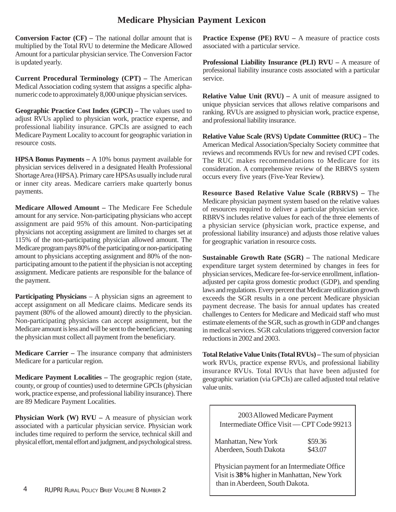### **Medicare Physician Payment Lexicon**

**Conversion Factor (CF) –** The national dollar amount that is multiplied by the Total RVU to determine the Medicare Allowed Amount for a particular physician service. The Conversion Factor is updated yearly.

**Current Procedural Terminology (CPT) –** The American Medical Association coding system that assigns a specific alphanumeric code to approximately 8,000 unique physician services.

**Geographic Practice Cost Index (GPCI) – The values used to** adjust RVUs applied to physician work, practice expense, and professional liability insurance. GPCIs are assigned to each Medicare Payment Locality to account for geographic variation in resource costs.

**HPSA Bonus Payments –** A 10% bonus payment available for physician services delivered in a designated Health Professional Shortage Area (HPSA). Primary care HPSAs usually include rural or inner city areas. Medicare carriers make quarterly bonus payments.

**Medicare Allowed Amount –** The Medicare Fee Schedule amount for any service. Non-participating physicians who accept assignment are paid 95% of this amount. Non-participating physicians not accepting assignment are limited to charges set at 115% of the non-participating physician allowed amount. The Medicare program pays 80% of the participating or non-participating amount to physicians accepting assignment and 80% of the nonparticipating amount to the patient if the physician is not accepting assignment. Medicare patients are responsible for the balance of the payment.

**Participating Physicians** – A physician signs an agreement to accept assignment on all Medicare claims. Medicare sends its payment (80% of the allowed amount) directly to the physician. Non-participating physicians can accept assignment, but the Medicare amount is less and will be sent to the beneficiary, meaning the physician must collect all payment from the beneficiary.

**Medicare Carrier –** The insurance company that administers Medicare for a particular region.

**Medicare Payment Localities –** The geographic region (state, county, or group of counties) used to determine GPCIs (physician work, practice expense, and professional liability insurance). There are 89 Medicare Payment Localities.

**Physician Work (W) RVU** – A measure of physician work associated with a particular physician service. Physician work includes time required to perform the service, technical skill and physical effort, mental effort and judgment, and psychological stress.

**Practice Expense (PE) RVU** – A measure of practice costs associated with a particular service.

**Professional Liability Insurance (PLI) RVU –** A measure of professional liability insurance costs associated with a particular service.

**Relative Value Unit (RVU) –** A unit of measure assigned to unique physician services that allows relative comparisons and ranking. RVUs are assigned to physician work, practice expense, and professional liability insurance.

**Relative Value Scale (RVS) Update Committee (RUC) –** The American Medical Association/Specialty Society committee that reviews and recommends RVUs for new and revised CPT codes. The RUC makes recommendations to Medicare for its consideration. A comprehensive review of the RBRVS system occurs every five years (Five-Year Review).

**Resource Based Relative Value Scale (RBRVS) –** The Medicare physician payment system based on the relative values of resources required to deliver a particular physician service. RBRVS includes relative values for each of the three elements of a physician service (physician work, practice expense, and professional liability insurance) and adjusts those relative values for geographic variation in resource costs.

**Sustainable Growth Rate (SGR) –** The national Medicare expenditure target system determined by changes in fees for physician services, Medicare fee-for-service enrollment, inflationadjusted per capita gross domestic product (GDP), and spending laws and regulations. Every percent that Medicare utilization growth exceeds the SGR results in a one percent Medicare physician payment decrease. The basis for annual updates has created challenges to Centers for Medicare and Medicaid staff who must estimate elements of the SGR, such as growth in GDP and changes in medical services. SGR calculations triggered conversion factor reductions in 2002 and 2003.

**Total Relative Value Units (Total RVUs) –** The sum of physician work RVUs, practice expense RVUs, and professional liability insurance RVUs. Total RVUs that have been adjusted for geographic variation (via GPCIs) are called adjusted total relative value units.

2003 Allowed Medicare Payment Intermediate Office Visit — CPT Code 99213

| Manhattan, New York    | \$59.36 |
|------------------------|---------|
| Aberdeen, South Dakota | \$43.07 |

Physician payment for an Intermediate Office Visit is **38%** higher in Manhattan, New York than in Aberdeen, South Dakota.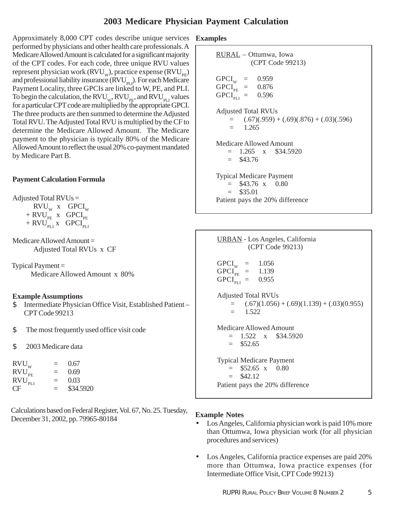#### **2003 Medicare Physician Payment Calculation**

Approximately 8,000 CPT codes describe unique services **Examples** performed by physicians and other health care professionals. A Medicare Allowed Amount is calculated for a significant majority of the CPT codes. For each code, three unique RVU values represent physician work ( $\text{RVU}_{\text{w}}$ ), practice expense ( $\text{RVU}_{\text{PE}}$ ) and professional liability insurance  $(RVU_{PI})$ . For each Medicare Payment Locality, three GPCIs are linked to W, PE, and PLI. To begin the calculation, the  $\text{RVU}_{\text{w}}$ ,  $\text{RVU}_{\text{PE}}$ , and  $\text{RVU}_{\text{PL}}$  values for a particular CPT code are multiplied by the appropriate GPCI. The three products are then summed to determine the Adjusted Total RVU. The Adjusted Total RVU is multiplied by the CF to determine the Medicare Allowed Amount. The Medicare payment to the physician is typically 80% of the Medicare Allowed Amount to reflect the usual 20% co-payment mandated by Medicare Part B.

#### **Payment Calculation Formula**

Adjusted Total  $RVUs =$ 

 $RVU_w$  x  $GPCI_w$  $+$  RVU<sub>PE</sub> x GPCI<sub>PE</sub>  $+$  RVU<sub>PLI</sub> x GPCI<sub>PLI</sub>

Medicare Allowed Amount = Adjusted Total RVUs x CF

Typical Payment  $=$ Medicare Allowed Amount x 80%

#### **Example Assumptions**

- \$ Intermediate Physician Office Visit, Established Patient CPT Code 99213
- \$ The most frequently used office visit code
- \$ 2003 Medicare data

| $RVU_w$     | $=$      | 0.67      |
|-------------|----------|-----------|
| $RVU_{PE}$  | $=$      | 0.69      |
| $RVU_{PLI}$ | $=$      | 0.03      |
| CF.         | $\equiv$ | \$34.5920 |

Calculations based on Federal Register, Vol. 67, No. 25. Tuesday, December 31, 2002, pp. 79965-80184

RURAL – Ottumwa, Iowa (CPT Code 99213)  $GPCI_w = 0.959$ <br> $GPCI_w = 0.876$  $GPCI_{PE} = 0.876$ <br> $GPCI_{net} = 0.596$  $\text{GPCI}_{\text{PLI}}$  = Adjusted Total RVUs  $=$   $(.67)(.959) + (.69)(.876) + (.03)(.596)$  $=$  1.265 Medicare Allowed Amount  $= 1.265$  x \$34.5920  $=$  \$43.76 Typical Medicare Payment  $=$  \$43.76 x 0.80  $=$  \$35.01 Patient pays the 20% difference



#### **Example Notes**

- Los Angeles, California physician work is paid 10% more than Ottumwa, Iowa physician work (for all physician procedures and services)
- Los Angeles, California practice expenses are paid 20% more than Ottumwa, Iowa practice expenses (for Intermediate Office Visit, CPT Code 99213)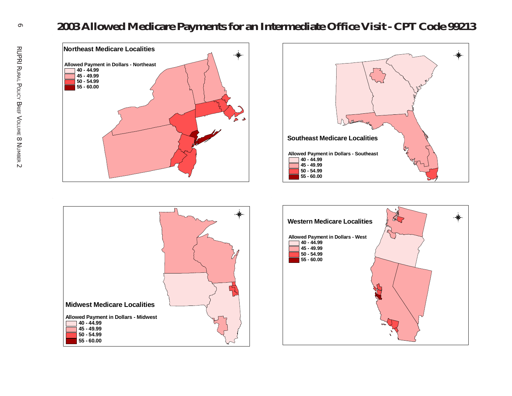







 $\sigma$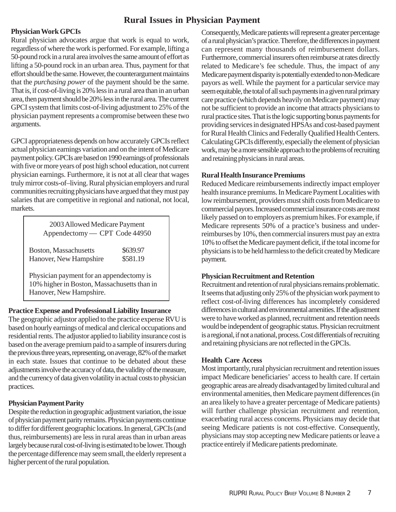#### **Rural Issues in Physician Payment**

#### **Physician Work GPCIs**

Rural physician advocates argue that work is equal to work, regardless of where the work is performed. For example, lifting a 50-pound rock in a rural area involves the same amount of effort as lifting a 50-pound rock in an urban area. Thus, payment for that effort should be the same. However, the counterargument maintains that the *purchasing power* of the payment should be the same. That is, if cost-of-living is 20% less in a rural area than in an urban area, then payment should be 20% less in the rural area. The current GPCI system that limits cost-of-living adjustment to 25% of the physician payment represents a compromise between these two arguments.

GPCI appropriateness depends on how accurately GPCIs reflect actual physician earnings variation and on the intent of Medicare payment policy. GPCIs are based on 1990 earnings of professionals with five or more years of post high school education, not current physician earnings. Furthermore, it is not at all clear that wages truly mirror costs-of–living. Rural physician employers and rural communities recruiting physicians have argued that they must pay salaries that are competitive in regional and national, not local, markets.

| 2003 Allowed Medicare Payment<br>Appendectomy - CPT Code 44950                                                     |                      |  |  |  |
|--------------------------------------------------------------------------------------------------------------------|----------------------|--|--|--|
| Boston, Massachusetts<br>Hanover, New Hampshire                                                                    | \$639.97<br>\$581.19 |  |  |  |
| Physician payment for an appendectomy is<br>10% higher in Boston, Massachusetts than in<br>Hanover, New Hampshire. |                      |  |  |  |

#### **Practice Expense and Professional Liability Insurance**

The geographic adjustor applied to the practice expense RVU is based on hourly earnings of medical and clerical occupations and residential rents. The adjustor applied to liability insurance cost is based on the average premium paid to a sample of insurers during the previous three years, representing, on average, 82% of the market in each state. Issues that continue to be debated about these adjustments involve the accuracy of data, the validity of the measure, and the currency of data given volatility in actual costs to physician practices.

#### **Physician Payment Parity**

Despite the reduction in geographic adjustment variation, the issue of physician payment parity remains. Physician payments continue to differ for different geographic locations. In general, GPCIs (and thus, reimbursements) are less in rural areas than in urban areas largely because rural cost-of-living is estimated to be lower. Though the percentage difference may seem small, the elderly represent a higher percent of the rural population.

Consequently, Medicare patients will represent a greater percentage of a rural physician's practice. Therefore, the differences in payment can represent many thousands of reimbursement dollars. Furthermore, commercial insurers often reimburse at rates directly related to Medicare's fee schedule. Thus, the impact of any Medicare payment disparity is potentially extended to non-Medicare payors as well. While the payment for a particular service may seem equitable, the total of all such payments in a given rural primary care practice (which depends heavily on Medicare payment) may not be sufficient to provide an income that attracts physicians to rural practice sites. That is the logic supporting bonus payments for providing services in designated HPSAs and cost-based payment for Rural Health Clinics and Federally Qualified Health Centers. Calculating GPCIs differently, especially the element of physician work, may be a more sensible approach to the problems of recruiting and retaining physicians in rural areas.

#### **Rural Health Insurance Premiums**

Reduced Medicare reimbursements indirectly impact employer health insurance premiums. In Medicare Payment Localities with low reimbursement, providers must shift costs from Medicare to commercial payors. Increased commercial insurance costs are most likely passed on to employers as premium hikes. For example, if Medicare represents 50% of a practice's business and underreimburses by 10%, then commercial insurers must pay an extra 10% to offset the Medicare payment deficit, if the total income for physicians is to be held harmless to the deficit created by Medicare payment.

#### **Physician Recruitment and Retention**

Recruitment and retention of rural physicians remains problematic. It seems that adjusting only 25% of the physician work payment to reflect cost-of-living differences has incompletely considered differences in cultural and environmental amenities. If the adjustment were to have worked as planned, recruitment and retention needs would be independent of geographic status. Physician recruitment is a regional, if not a national, process. Cost differentials of recruiting and retaining physicians are not reflected in the GPCIs.

#### **Health Care Access**

Most importantly, rural physician recruitment and retention issues impact Medicare beneficiaries' access to health care. If certain geographic areas are already disadvantaged by limited cultural and environmental amenities, then Medicare payment differences (in an area likely to have a greater percentage of Medicare patients) will further challenge physician recruitment and retention, exacerbating rural access concerns. Physicians may decide that seeing Medicare patients is not cost-effective. Consequently, physicians may stop accepting new Medicare patients or leave a practice entirely if Medicare patients predominate.